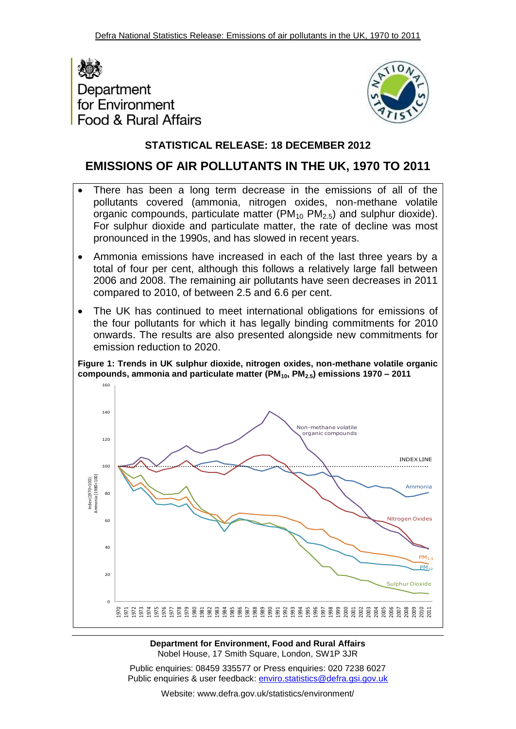



## **STATISTICAL RELEASE: 18 DECEMBER 2012**

# **EMISSIONS OF AIR POLLUTANTS IN THE UK, 1970 TO 2011**

- There has been a long term decrease in the emissions of all of the pollutants covered (ammonia, nitrogen oxides, non-methane volatile organic compounds, particulate matter ( $PM_{10}$   $PM_{2.5}$ ) and sulphur dioxide). For sulphur dioxide and particulate matter, the rate of decline was most pronounced in the 1990s, and has slowed in recent years.
- Ammonia emissions have increased in each of the last three years by a total of four per cent, although this follows a relatively large fall between 2006 and 2008. The remaining air pollutants have seen decreases in 2011 compared to 2010, of between 2.5 and 6.6 per cent.
- The UK has continued to meet international obligations for emissions of the four pollutants for which it has legally binding commitments for 2010 onwards. The results are also presented alongside new commitments for emission reduction to 2020.

**Figure 1: Trends in UK sulphur dioxide, nitrogen oxides, non-methane volatile organic compounds, ammonia and particulate matter (PM10, PM2.5) emissions 1970 – 2011**



**Department for Environment, Food and Rural Affairs** Nobel House, 17 Smith Square, London, SW1P 3JR

Public enquiries: 08459 335577 or Press enquiries: 020 7238 6027 Public enquiries & user feedback: enviro.statistics@defra.gsi.gov.uk

Website: www.defra.gov.uk/statistics/environment/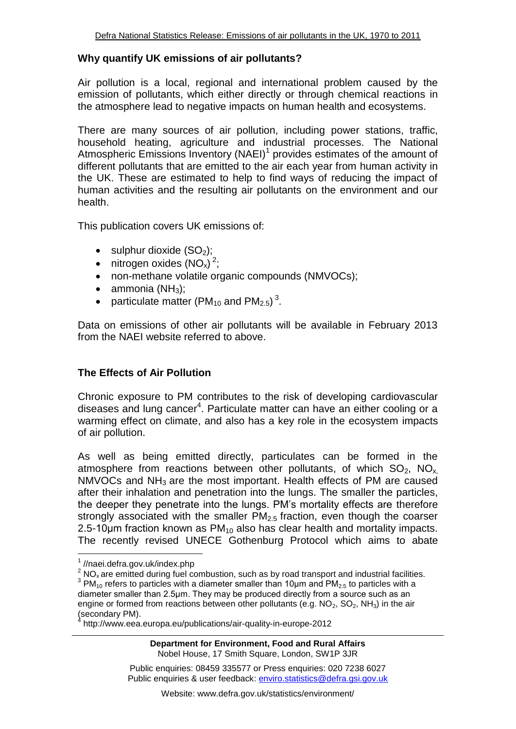## **Why quantify UK emissions of air pollutants?**

Air pollution is a local, regional and international problem caused by the emission of pollutants, which either directly or through chemical reactions in the atmosphere lead to negative impacts on human health and ecosystems.

There are many sources of air pollution, including power stations, traffic, household heating, agriculture and industrial processes. The National Atmospheric Emissions Inventory (NAEI)<sup>1</sup> provides estimates of the amount of different pollutants that are emitted to the air each year from human activity in the UK. These are estimated to help to find ways of reducing the impact of human activities and the resulting air pollutants on the environment and our health.

This publication covers UK emissions of:

- $\bullet$  sulphur dioxide (SO<sub>2</sub>);
- nitrogen oxides  $(NO_x)^2$ ;
- non-methane volatile organic compounds (NMVOCs);
- $\bullet$  ammonia (NH<sub>3</sub>);
- particulate matter (PM<sub>10</sub> and PM<sub>2.5</sub>)<sup>3</sup>.

Data on emissions of other air pollutants will be available in February 2013 from the NAEI website referred to above.

## **The Effects of Air Pollution**

Chronic exposure to PM contributes to the risk of developing cardiovascular diseases and lung cancer<sup>4</sup>. Particulate matter can have an either cooling or a warming effect on climate, and also has a key role in the ecosystem impacts of air pollution.

As well as being emitted directly, particulates can be formed in the atmosphere from reactions between other pollutants, of which  $SO_2$ ,  $NO_x$ ,  $NMVOCs$  and  $NH<sub>3</sub>$  are the most important. Health effects of PM are caused after their inhalation and penetration into the lungs. The smaller the particles, the deeper they penetrate into the lungs. PM's mortality effects are therefore strongly associated with the smaller  $PM<sub>2.5</sub>$  fraction, even though the coarser 2.5-10 $\mu$ m fraction known as PM<sub>10</sub> also has clear health and mortality impacts. The recently revised UNECE Gothenburg Protocol which aims to abate

 $\overline{a}$ 

 $2^{2}$  NO<sub>x</sub> are emitted during fuel combustion, such as by road transport and industrial facilities.

**Department for Environment, Food and Rural Affairs** Nobel House, 17 Smith Square, London, SW1P 3JR

<sup>&</sup>lt;sup>1</sup>//naei.defra.gov.uk/index.php

 $^3$  PM<sub>10</sub> refers to particles with a diameter smaller than 10µm and PM<sub>2.5</sub> to particles with a diameter smaller than 2.5µm. They may be produced directly from a source such as an engine or formed from reactions between other pollutants (e.g.  $NO_2$ ,  $SO_2$ ,  $NH_3$ ) in the air (secondary PM).

<http://www.eea.europa.eu/publications/air-quality-in-europe-2012>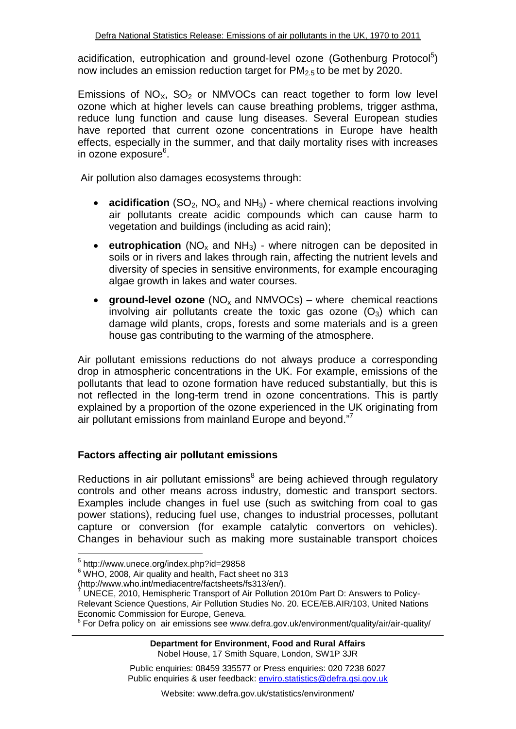acidification, eutrophication and ground-level ozone (Gothenburg Protocol<sup>5</sup>) now includes an emission reduction target for  $PM<sub>2.5</sub>$  to be met by 2020.

Emissions of  $NO<sub>x</sub>$ ,  $SO<sub>2</sub>$  or NMVOCs can react together to form low level ozone which at higher levels can cause breathing problems, trigger asthma, reduce lung function and cause lung diseases. Several European studies have reported that current ozone concentrations in Europe have health effects, especially in the summer, and that daily mortality rises with increases in ozone exposure<sup>6</sup>.

Air pollution also damages ecosystems through:

- **acidification** (SO<sub>2</sub>, NO<sub>x</sub> and NH<sub>3</sub>) where chemical reactions involving air pollutants create acidic compounds which can cause harm to vegetation and buildings (including as acid rain);
- **e** eutrophication (NO<sub>x</sub> and NH<sub>3</sub>) where nitrogen can be deposited in soils or in rivers and lakes through rain, affecting the nutrient levels and diversity of species in sensitive environments, for example encouraging algae growth in lakes and water courses.
- **•** ground-level ozone  $(NO_x \text{ and } NMVOCs)$  where chemical reactions involving air pollutants create the toxic gas ozone  $(O_3)$  which can damage wild plants, crops, forests and some materials and is a green house gas contributing to the warming of the atmosphere.

Air pollutant emissions reductions do not always produce a corresponding drop in atmospheric concentrations in the UK. For example, emissions of the pollutants that lead to ozone formation have reduced substantially, but this is not reflected in the long-term trend in ozone concentrations. This is partly explained by a proportion of the ozone experienced in the UK originating from air pollutant emissions from mainland Europe and beyond."<sup>7</sup>

## **Factors affecting air pollutant emissions**

Reductions in air pollutant emissions<sup>8</sup> are being achieved through regulatory controls and other means across industry, domestic and transport sectors. Examples include changes in fuel use (such as switching from coal to gas power stations), reducing fuel use, changes to industrial processes, pollutant capture or conversion (for example catalytic convertors on vehicles). Changes in behaviour such as making more sustainable transport choices

 $\overline{a}$ 5 http://www.unece.org/index.php?id=29858

<sup>&</sup>lt;sup>6</sup> WHO, 2008, Air quality and health, Fact sheet no 313

<sup>(</sup>http://www.who.int/mediacentre/factsheets/fs313/en/).

UNECE, 2010, Hemispheric Transport of Air Pollution 2010m Part D: Answers to Policy-Relevant Science Questions, Air Pollution Studies No. 20. ECE/EB.AIR/103, United Nations Economic Commission for Europe, Geneva.

 $8$  For Defra policy on air emissions see www.defra.gov.uk/environment/quality/air/air-quality/

**Department for Environment, Food and Rural Affairs** Nobel House, 17 Smith Square, London, SW1P 3JR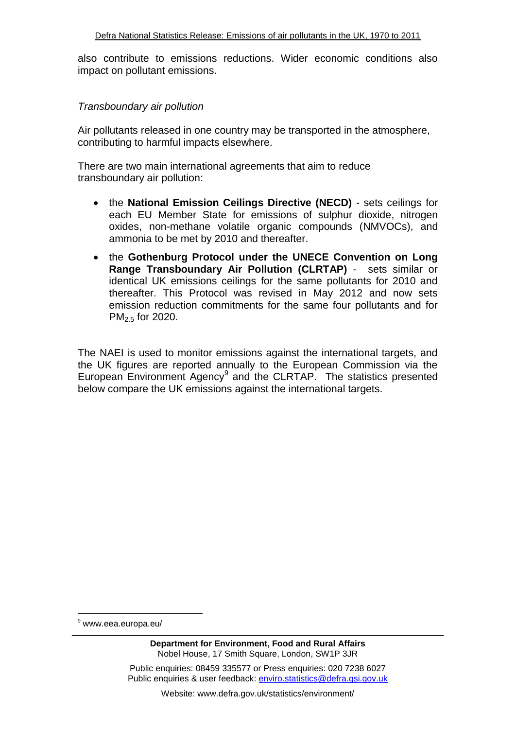also contribute to emissions reductions. Wider economic conditions also impact on pollutant emissions.

#### *Transboundary air pollution*

Air pollutants released in one country may be transported in the atmosphere, contributing to harmful impacts elsewhere.

There are two main international agreements that aim to reduce transboundary air pollution:

- the **National Emission Ceilings Directive (NECD)** sets ceilings for each EU Member State for emissions of sulphur dioxide, nitrogen oxides, non-methane volatile organic compounds (NMVOCs), and ammonia to be met by 2010 and thereafter.
- the **Gothenburg Protocol under the UNECE Convention on Long Range Transboundary Air Pollution (CLRTAP)** - sets similar or identical UK emissions ceilings for the same pollutants for 2010 and thereafter. This Protocol was revised in May 2012 and now sets emission reduction commitments for the same four pollutants and for PM2.5 for 2020.

The NAEI is used to monitor emissions against the international targets, and the UK figures are reported annually to the European Commission via the European Environment Agency<sup>9</sup> and the CLRTAP. The statistics presented below compare the UK emissions against the international targets.

<sup>9</sup> www.eea.europa.eu/

 $\overline{a}$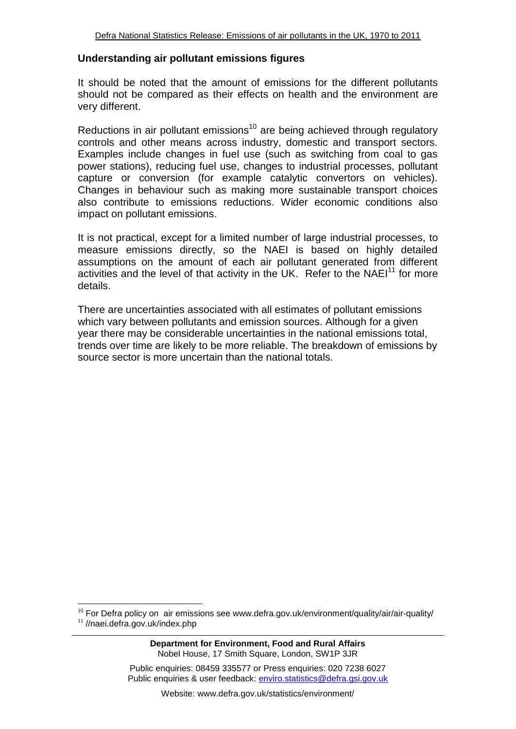## **Understanding air pollutant emissions figures**

It should be noted that the amount of emissions for the different pollutants should not be compared as their effects on health and the environment are very different.

Reductions in air pollutant emissions<sup>10</sup> are being achieved through regulatory controls and other means across industry, domestic and transport sectors. Examples include changes in fuel use (such as switching from coal to gas power stations), reducing fuel use, changes to industrial processes, pollutant capture or conversion (for example catalytic convertors on vehicles). Changes in behaviour such as making more sustainable transport choices also contribute to emissions reductions. Wider economic conditions also impact on pollutant emissions.

It is not practical, except for a limited number of large industrial processes, to measure emissions directly, so the NAEI is based on highly detailed assumptions on the amount of each air pollutant generated from different activities and the level of that activity in the UK. Refer to the NAE $1<sup>11</sup>$  for more details.

There are uncertainties associated with all estimates of pollutant emissions which vary between pollutants and emission sources. Although for a given year there may be considerable uncertainties in the national emissions total, trends over time are likely to be more reliable. The breakdown of emissions by source sector is more uncertain than the national totals.

 $\overline{a}$ 

 $10$  For Defra policy on air emissions see www.defra.gov.uk/environment/quality/air/air-quality/ <sup>11</sup> //naei.defra.gov.uk/index.php

Public enquiries: 08459 335577 or Press enquiries: 020 7238 6027 Public enquiries & user feedback: enviro.statistics@defra.gsi.gov.uk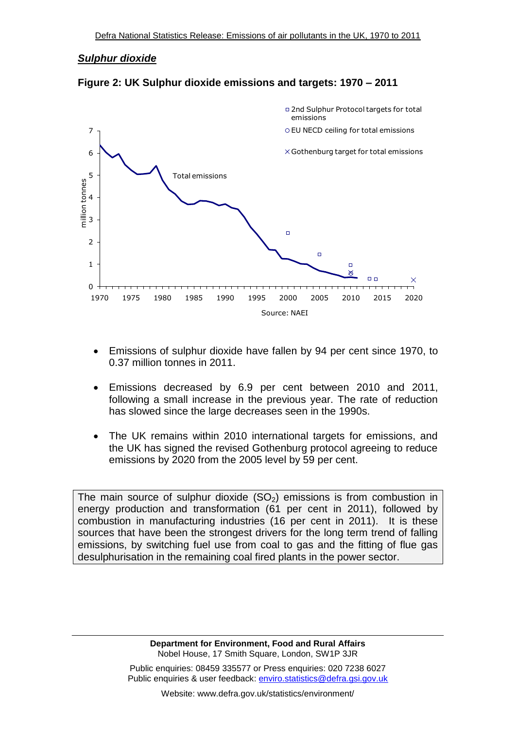## *Sulphur dioxide*



**Figure 2: UK Sulphur dioxide emissions and targets: 1970 – 2011**

- Emissions of sulphur dioxide have fallen by 94 per cent since 1970, to 0.37 million tonnes in 2011.
- Emissions decreased by 6.9 per cent between 2010 and 2011, following a small increase in the previous year. The rate of reduction has slowed since the large decreases seen in the 1990s.
- The UK remains within 2010 international targets for emissions, and the UK has signed the revised Gothenburg protocol agreeing to reduce emissions by 2020 from the 2005 level by 59 per cent.

The main source of sulphur dioxide  $(SO<sub>2</sub>)$  emissions is from combustion in energy production and transformation (61 per cent in 2011), followed by combustion in manufacturing industries (16 per cent in 2011). It is these sources that have been the strongest drivers for the long term trend of falling emissions, by switching fuel use from coal to gas and the fitting of flue gas desulphurisation in the remaining coal fired plants in the power sector.

> **Department for Environment, Food and Rural Affairs** Nobel House, 17 Smith Square, London, SW1P 3JR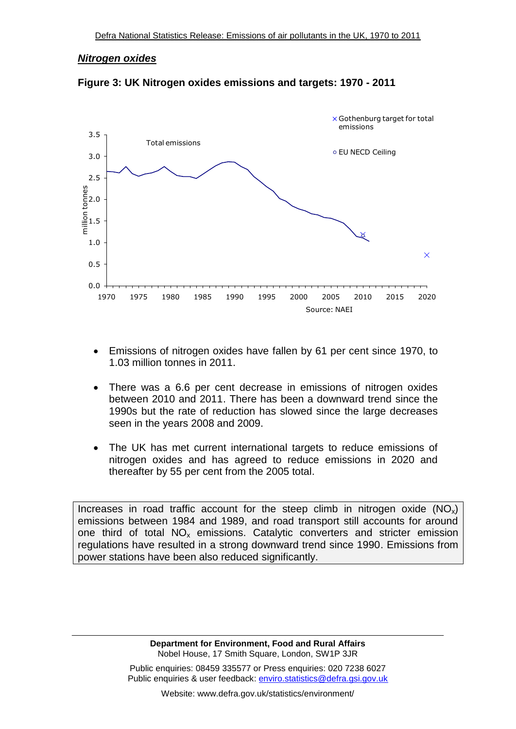#### *Nitrogen oxides*



**Figure 3: UK Nitrogen oxides emissions and targets: 1970 - 2011**

- Emissions of nitrogen oxides have fallen by 61 per cent since 1970, to 1.03 million tonnes in 2011.
- There was a 6.6 per cent decrease in emissions of nitrogen oxides between 2010 and 2011. There has been a downward trend since the 1990s but the rate of reduction has slowed since the large decreases seen in the years 2008 and 2009.
- The UK has met current international targets to reduce emissions of nitrogen oxides and has agreed to reduce emissions in 2020 and thereafter by 55 per cent from the 2005 total.

Increases in road traffic account for the steep climb in nitrogen oxide  $(NO<sub>x</sub>)$ emissions between 1984 and 1989, and road transport still accounts for around one third of total  $NO<sub>x</sub>$  emissions. Catalytic converters and stricter emission regulations have resulted in a strong downward trend since 1990. Emissions from power stations have been also reduced significantly.

> **Department for Environment, Food and Rural Affairs** Nobel House, 17 Smith Square, London, SW1P 3JR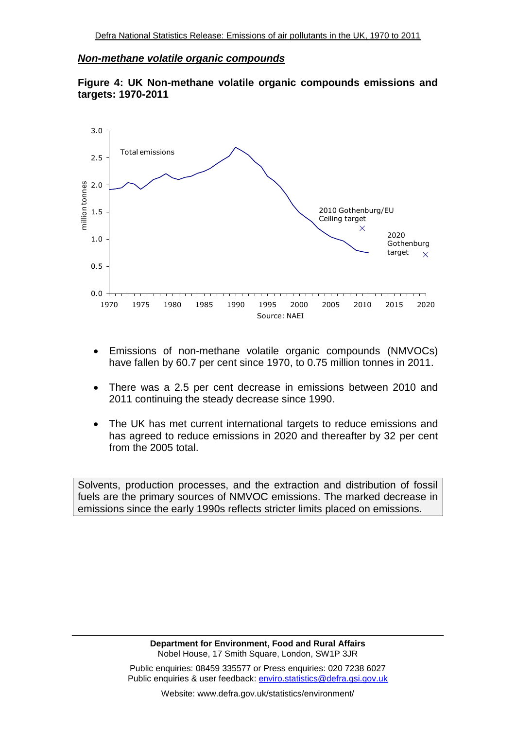#### *Non-methane volatile organic compounds*





- Emissions of non-methane volatile organic compounds (NMVOCs) have fallen by 60.7 per cent since 1970, to 0.75 million tonnes in 2011.
- There was a 2.5 per cent decrease in emissions between 2010 and 2011 continuing the steady decrease since 1990.
- The UK has met current international targets to reduce emissions and has agreed to reduce emissions in 2020 and thereafter by 32 per cent from the 2005 total.

Solvents, production processes, and the extraction and distribution of fossil fuels are the primary sources of NMVOC emissions. The marked decrease in emissions since the early 1990s reflects stricter limits placed on emissions.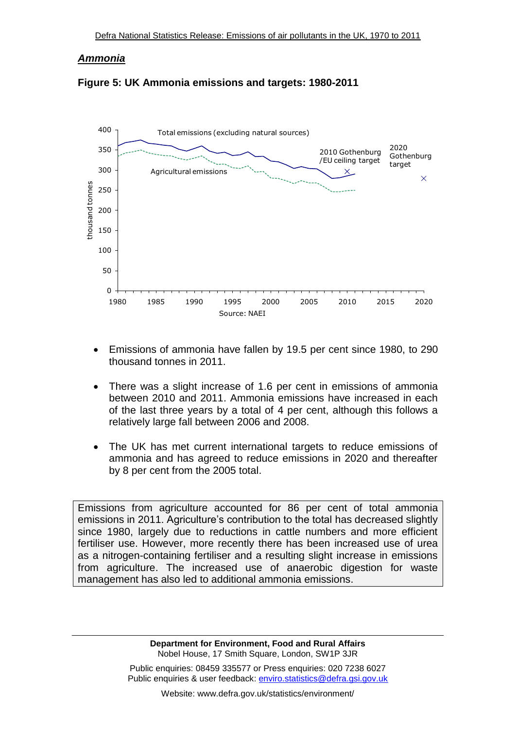#### *Ammonia*





- Emissions of ammonia have fallen by 19.5 per cent since 1980, to 290 thousand tonnes in 2011.
- There was a slight increase of 1.6 per cent in emissions of ammonia between 2010 and 2011. Ammonia emissions have increased in each of the last three years by a total of 4 per cent, although this follows a relatively large fall between 2006 and 2008.
- The UK has met current international targets to reduce emissions of ammonia and has agreed to reduce emissions in 2020 and thereafter by 8 per cent from the 2005 total.

Emissions from agriculture accounted for 86 per cent of total ammonia emissions in 2011. Agriculture's contribution to the total has decreased slightly since 1980, largely due to reductions in cattle numbers and more efficient fertiliser use. However, more recently there has been increased use of urea as a nitrogen-containing fertiliser and a resulting slight increase in emissions from agriculture. The increased use of anaerobic digestion for waste management has also led to additional ammonia emissions.

> **Department for Environment, Food and Rural Affairs** Nobel House, 17 Smith Square, London, SW1P 3JR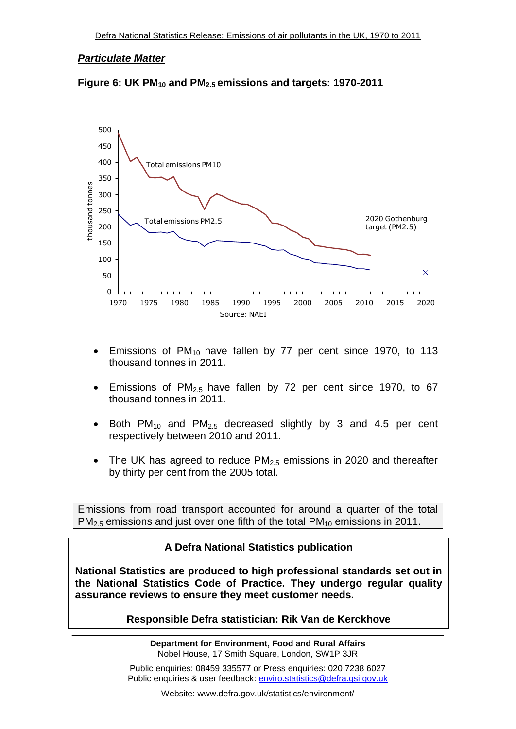## *Particulate Matter*





- Emissions of  $PM_{10}$  have fallen by 77 per cent since 1970, to 113 thousand tonnes in 2011.
- Emissions of  $PM<sub>2.5</sub>$  have fallen by 72 per cent since 1970, to 67 thousand tonnes in 2011.
- Both  $PM_{10}$  and  $PM_{2.5}$  decreased slightly by 3 and 4.5 per cent respectively between 2010 and 2011.
- The UK has agreed to reduce  $PM<sub>2.5</sub>$  emissions in 2020 and thereafter by thirty per cent from the 2005 total.

Emissions from road transport accounted for around a quarter of the total  $PM_{2.5}$  emissions and just over one fifth of the total  $PM_{10}$  emissions in 2011.

## **A Defra National Statistics publication**

**National Statistics are produced to high professional standards set out in the National Statistics Code of Practice. They undergo regular quality assurance reviews to ensure they meet customer needs.**

**Responsible Defra statistician: Rik Van de Kerckhove**

**Department for Environment, Food and Rural Affairs** Nobel House, 17 Smith Square, London, SW1P 3JR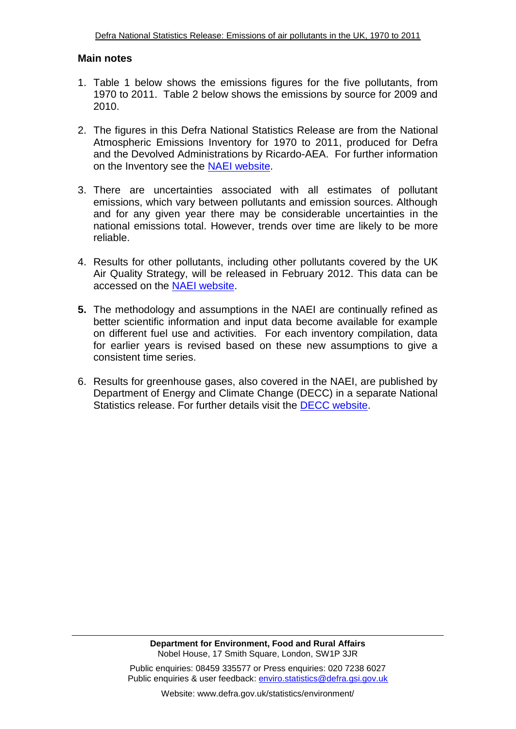## **Main notes**

- 1. Table 1 below shows the emissions figures for the five pollutants, from 1970 to 2011. Table 2 below shows the emissions by source for 2009 and 2010.
- 2. The figures in this Defra National Statistics Release are from the National Atmospheric Emissions Inventory for 1970 to 2011, produced for Defra and the Devolved Administrations by Ricardo-AEA. For further information on the Inventory see the [NAEI website.](//naei.defra.gov.uk/index.php)
- 3. There are uncertainties associated with all estimates of pollutant emissions, which vary between pollutants and emission sources. Although and for any given year there may be considerable uncertainties in the national emissions total. However, trends over time are likely to be more reliable.
- 4. Results for other pollutants, including other pollutants covered by the UK Air Quality Strategy, will be released in February 2012. This data can be accessed on the [NAEI website.](//naei.defra.gov.uk/index.php)
- **5.** The methodology and assumptions in the NAEI are continually refined as better scientific information and input data become available for example on different fuel use and activities. For each inventory compilation, data for earlier years is revised based on these new assumptions to give a consistent time series.
- 6. Results for greenhouse gases, also covered in the NAEI, are published by Department of Energy and Climate Change (DECC) in a separate National Statistics release. For further details visit the [DECC website.](http://www.decc.gov.uk/)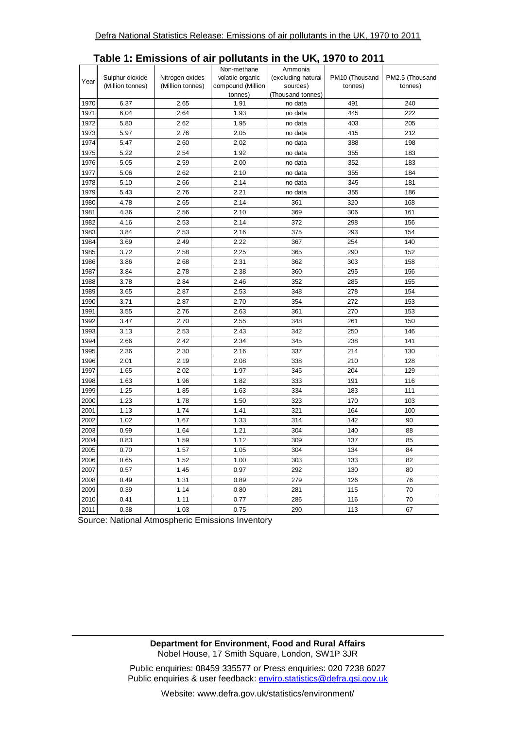|              |                                     |                  | Non-methane       | Ammonia            |                | PM2.5 (Thousand<br>tonnes) |  |
|--------------|-------------------------------------|------------------|-------------------|--------------------|----------------|----------------------------|--|
| Year         | Sulphur dioxide<br>(Million tonnes) | Nitrogen oxides  | volatile organic  | (excluding natural | PM10 (Thousand |                            |  |
|              |                                     | (Million tonnes) | compound (Million | sources)           | tonnes)        |                            |  |
| 1970<br>6.37 |                                     |                  | tonnes)           | (Thousand tonnes)  |                |                            |  |
|              |                                     | 2.65             | 1.91              | no data            | 491            | 240                        |  |
| 1971         | 6.04                                | 2.64             | 1.93              | no data            | 445            | 222                        |  |
| 1972         | 5.80                                | 2.62             | 1.95              | no data            | 403            | 205                        |  |
| 1973         | 5.97                                | 2.76             | 2.05              | no data            | 415            | 212                        |  |
| 1974         | 5.47                                | 2.60             | 2.02              | no data            | 388            | 198                        |  |
| 1975         | 5.22                                | 2.54             | 1.92              | no data            | 355            | 183                        |  |
| 1976         | 5.05                                | 2.59             | 2.00              | no data            | 352            | 183                        |  |
| 1977         | 5.06                                | 2.62             | 2.10              | no data            | 355            | 184                        |  |
| 1978         | 5.10                                | 2.66             | 2.14              | no data            | 345            | 181                        |  |
| 1979         | 5.43                                | 2.76             | 2.21              | no data            | 355            | 186                        |  |
| 1980         | 4.78                                | 2.65             | 2.14              | 361                | 320            | 168                        |  |
| 1981         | 4.36                                | 2.56             | 2.10              | 369                | 306            | 161                        |  |
| 1982         | 4.16                                | 2.53             | 2.14              | 372                | 298            | 156                        |  |
| 1983         | 3.84                                | 2.53             | 2.16              | 375                | 293            | 154                        |  |
| 1984         | 3.69                                | 2.49             | 2.22              | 367                | 254            | 140                        |  |
| 1985         | 3.72                                | 2.58             | 2.25              | 365                | 290            | 152                        |  |
| 1986         | 3.86                                | 2.68             | 2.31              | 362                | 303            | 158                        |  |
| 1987         | 3.84                                | 2.78             | 2.38              | 360                | 295            | 156                        |  |
| 1988         | 3.78                                | 2.84             | 2.46              | 352                | 285            | 155                        |  |
| 1989         | 3.65                                | 2.87             | 2.53              | 348                | 278            | 154                        |  |
| 1990         | 3.71                                | 2.87             | 2.70              | 354                | 272            | 153                        |  |
| 1991         | 3.55                                | 2.76             | 2.63              | 361                | 270            | 153                        |  |
| 1992         | 3.47                                | 2.70             | 2.55              | 348                | 261            | 150                        |  |
| 1993         | 3.13                                | 2.53             | 2.43              | 342                | 250            | 146                        |  |
| 1994         | 2.66                                | 2.42             | 2.34              | 345                | 238            | 141                        |  |
| 1995         | 2.36                                | 2.30             | 2.16              | 337                | 214            | 130                        |  |
| 1996         | 2.01                                | 2.19             | 2.08              | 338                | 210            | 128                        |  |
| 1997         | 1.65                                | 2.02             | 1.97              | 345                | 204            | 129                        |  |
| 1998         | 1.63                                | 1.96             | 1.82              | 333                | 191            | 116                        |  |
| 1999         | 1.25                                | 1.85             | 1.63              | 334                | 183            | 111                        |  |
| 2000         | 1.23                                | 1.78             | 1.50              | 323                | 170            | 103                        |  |
| 2001         | 1.13                                | 1.74             | 1.41              | 321                | 164            | 100                        |  |
| 2002         | 1.02                                | 1.67             | 1.33              | 314                | 142            | 90                         |  |
| 2003         | 0.99                                | 1.64             | 1.21              | 304                | 140            | 88                         |  |
| 2004         | 0.83                                | 1.59             | 1.12              | 309                | 137            | 85                         |  |
| 2005         | 0.70                                | 1.57             | 1.05              | 304                | 134            | 84                         |  |
| 2006         | 0.65                                | 1.52             | 1.00              | 303                | 133            | 82                         |  |
| 2007         | 0.57                                | 1.45             | 0.97              | 292                | 130            | 80                         |  |
| 2008         | 0.49                                | 1.31             | 0.89              | 279                | 126            | 76                         |  |
| 2009         | 0.39                                | 1.14             | 0.80              | 281                | 115            | 70                         |  |
| 2010         | 0.41                                | 1.11             | 0.77              | 286                | 116            | 70                         |  |
| 2011         | 0.38                                | 1.03             | 0.75              | 290                | 113            | 67                         |  |

**Table 1: Emissions of air pollutants in the UK, 1970 to 2011**

Source: National Atmospheric Emissions Inventory

**Department for Environment, Food and Rural Affairs** Nobel House, 17 Smith Square, London, SW1P 3JR